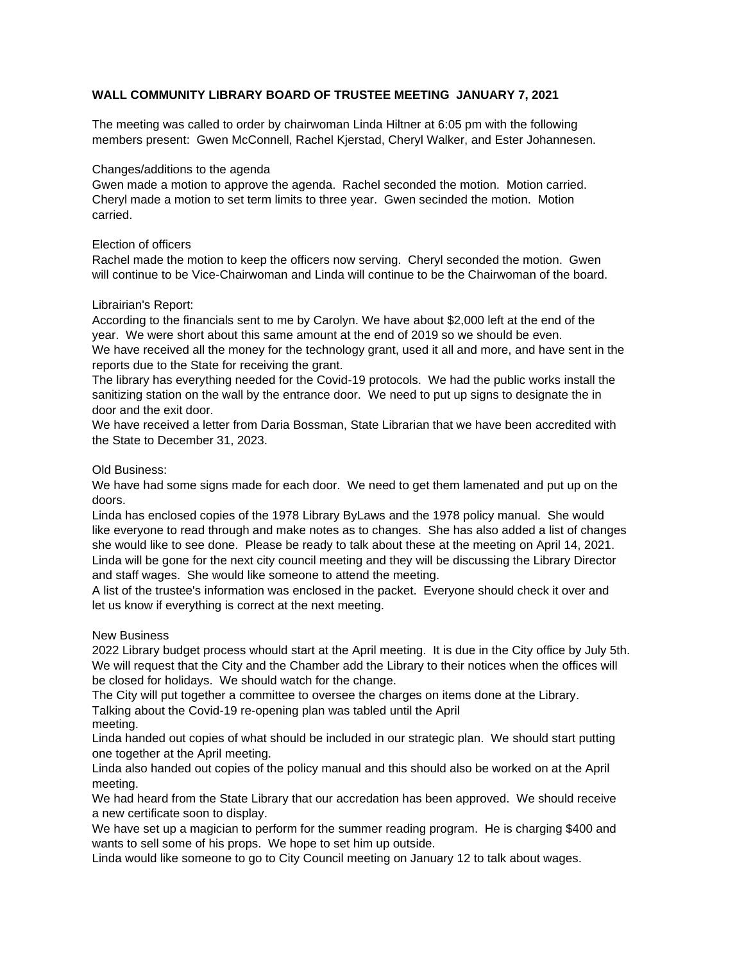# **WALL COMMUNITY LIBRARY BOARD OF TRUSTEE MEETING JANUARY 7, 2021**

The meeting was called to order by chairwoman Linda Hiltner at 6:05 pm with the following members present: Gwen McConnell, Rachel Kjerstad, Cheryl Walker, and Ester Johannesen.

## Changes/additions to the agenda

Gwen made a motion to approve the agenda. Rachel seconded the motion. Motion carried. Cheryl made a motion to set term limits to three year. Gwen secinded the motion. Motion carried.

# Election of officers

Rachel made the motion to keep the officers now serving. Cheryl seconded the motion. Gwen will continue to be Vice-Chairwoman and Linda will continue to be the Chairwoman of the board.

# Librairian's Report:

According to the financials sent to me by Carolyn. We have about \$2,000 left at the end of the year. We were short about this same amount at the end of 2019 so we should be even. We have received all the money for the technology grant, used it all and more, and have sent in the reports due to the State for receiving the grant.

The library has everything needed for the Covid-19 protocols. We had the public works install the sanitizing station on the wall by the entrance door. We need to put up signs to designate the in door and the exit door.

We have received a letter from Daria Bossman, State Librarian that we have been accredited with the State to December 31, 2023.

#### Old Business:

We have had some signs made for each door. We need to get them lamenated and put up on the doors.

Linda has enclosed copies of the 1978 Library ByLaws and the 1978 policy manual. She would like everyone to read through and make notes as to changes. She has also added a list of changes she would like to see done. Please be ready to talk about these at the meeting on April 14, 2021. Linda will be gone for the next city council meeting and they will be discussing the Library Director and staff wages. She would like someone to attend the meeting.

A list of the trustee's information was enclosed in the packet. Everyone should check it over and let us know if everything is correct at the next meeting.

# New Business

2022 Library budget process whould start at the April meeting. It is due in the City office by July 5th. We will request that the City and the Chamber add the Library to their notices when the offices will be closed for holidays. We should watch for the change.

The City will put together a committee to oversee the charges on items done at the Library. Talking about the Covid-19 re-opening plan was tabled until the April meeting.

Linda handed out copies of what should be included in our strategic plan. We should start putting one together at the April meeting.

Linda also handed out copies of the policy manual and this should also be worked on at the April meeting.

We had heard from the State Library that our accredation has been approved. We should receive a new certificate soon to display.

We have set up a magician to perform for the summer reading program. He is charging \$400 and wants to sell some of his props. We hope to set him up outside.

Linda would like someone to go to City Council meeting on January 12 to talk about wages.